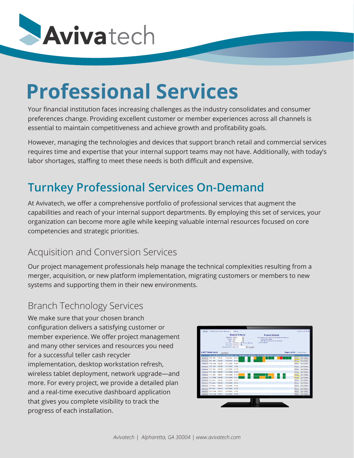

# **Professional Services**

Your financial institution faces increasing challenges as the industry consolidates and consumer preferences change. Providing excellent customer or member experiences across all channels is essential to maintain competitiveness and achieve growth and profitability goals.

However, managing the technologies and devices that support branch retail and commercial services requires time and expertise that your internal support teams may not have. Additionally, with today's labor shortages, staffing to meet these needs is both difficult and expensive.

## **Turnkey Professional Services On-Demand**

At Avivatech, we offer a comprehensive portfolio of professional services that augment the capabilities and reach of your internal support departments. By employing this set of services, your organization can become more agile while keeping valuable internal resources focused on core competencies and strategic priorities.

#### Acquisition and Conversion Services

Our project management professionals help manage the technical complexities resulting from a merger, acquisition, or new platform implementation, migrating customers or members to new systems and supporting them in their new environments.

### Branch Technology Services Branch Technology Services

We make sure that your chosen branch configuration delivers a satisfying customer or member experience. We offer project management and many other services and resources you need for a successful teller cash recycler implementation, desktop workstation refresh, wireless tablet deployment, network upgrade—and more. For every project, we provide a detailed plan and a real-time executive dashboard application that gives you complete visibility to track the progress of each installation.